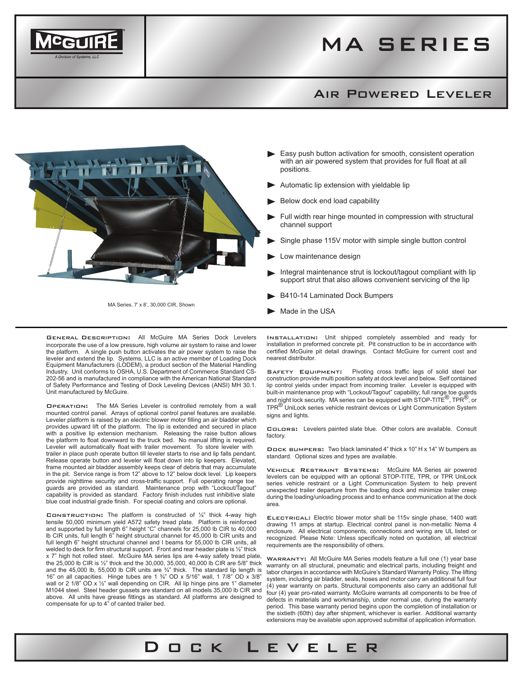

## Air Powered Leveler



- Easy push button activation for smooth, consistent operation with an air powered system that provides for full float at all positions.
- Automatic lip extension with yieldable lip
- Below dock end load capability
- Full width rear hinge mounted in compression with structural channel support
- Single phase 115V motor with simple single button control
- Low maintenance design
- Integral maintenance strut is lockout/tagout compliant with lip support strut that also allows convenient servicing of the lip
- B410-14 Laminated Dock Bumpers
- Made in the USA

Dock Leveler

General Description: All McGuire MA Series Dock Levelers incorporate the use of a low pressure, high volume air system to raise and lower the platform. A single push button activates the air power system to raise the leveler and extend the lip. Systems, LLC is an active member of Loading Dock Equipment Manufacturers (LODEM), a product section of the Material Handling Industry. Unit conforms to OSHA, U.S. Department of Commerce Standard CS-202-56 and is manufactured in compliance with the American National Standard of Safety Performance and Testing of Dock Leveling Devices (ANSI) MH 30.1. Unit manufactured by McGuire.

MA Series, 7' x 8', 30,000 CIR, Shown

Operation: The MA Series Leveler is controlled remotely from a wall mounted control panel. Arrays of optional control panel features are available. Leveler platform is raised by an electric blower motor filling an air bladder which provides upward lift of the platform. The lip is extended and secured in place with a positive lip extension mechanism. Releasing the raise button allows the platform to float downward to the truck bed. No manual lifting is required. Leveler will automatically float with trailer movement. To store leveler with trailer in place push operate button till leveler starts to rise and lip falls pendant. Release operate button and leveler will float down into lip keepers. Elevated, frame mounted air bladder assembly keeps clear of debris that may accumulate in the pit. Service range is from 12" above to 12" below dock level. Lip keepers provide nighttime security and cross-traffic support. Full operating range toe guards are provided as standard. Maintenance prop with "Lockout/Tagout" capability is provided as standard. Factory finish includes rust inhibitive slate blue coat industrial grade finish. For special coating and colors are optional.

CONSTRUCTION: The platform is constructed of  $\frac{1}{4}$ " thick 4-way high tensile 50,000 minimum yield A572 safety tread plate. Platform is reinforced and supported by full length 6" height "C" channels for 25,000 lb CIR to 40,000 lb CIR units, full length 6" height structural channel for 45,000 lb CIR units and full length 6" height structural channel and I beams for 55,000 lb CIR units, all welded to deck for firm structural support. Front and rear header plate is ½" thick x 7" high hot rolled steel. McGuire MA series lips are 4-way safety tread plate, the 25,000 lb CIR is ½" thick and the 30,000, 35,000, 40,000 lb CIR are 5/8" thick and the 45,000 lb, 55,000 lb CIR units are  $\frac{3}{4}$ " thick. The standard lip length is 16" on all capacities. Hinge tubes are 1 ¾" OD x 5/16" wall, 1 7/8" OD x 3/8" wall or 2 1/8" OD x 1/2" wall depending on CIR. All lip hinge pins are 1" diameter M1044 steel. Steel header gussets are standard on all models 35,000 lb CIR and above. All units have grease fittings as standard. All platforms are designed to compensate for up to 4" of canted trailer bed.

Installation: Unit shipped completely assembled and ready for installation in preformed concrete pit. Pit construction to be in accordance with certified McGuire pit detail drawings. Contact McGuire for current cost and nearest distributor.

SAFETY EQUIPMENT: Pivoting cross traffic legs of solid steel bar construction provide multi position safety at dock level and below. Self contained lip control yields under impact from incoming trailer. Leveler is equipped with built-in maintenance prop with "Lockout/Tagout" capability; full range toe guards and night lock security. MA series can be equipped with STOP-TITE<sup>®</sup>, TPR<sup>®</sup>, or TPR® UniLock series vehicle restraint devices or Light Communication System signs and lights.

Colors: Levelers painted slate blue. Other colors are available. Consult factory.

Dock bumpers: Two black laminated 4" thick x 10" H x 14" W bumpers as standard. Optional sizes and types are available.

Vehicle Restraint Systems: McGuire MA Series air powered levelers can be equipped with an optional STOP-TITE, TPR, or TPR UniLock series vehicle restraint or a Light Communication System to help prevent unexpected trailer departure from the loading dock and minimize trailer creep during the loading/unloading process and to enhance communication at the dock area.

ELECTRICAL: Electric blower motor shall be 115v single phase, 1400 watt drawing 11 amps at startup. Electrical control panel is non-metallic Nema 4 enclosure. All electrical components, connections and wiring are UL listed or recognized. Please Note: Unless specifically noted on quotation, all electrical requirements are the responsibility of others.

WARRANTY: All McGuire MA Series models feature a full one (1) year base warranty on all structural, pneumatic and electrical parts, including freight and labor charges in accordance with McGuire's Standard Warranty Policy. The lifting system, including air bladder, seals, hoses and motor carry an additional full four (4) year warranty on parts. Structural components also carry an additional full four (4) year pro-rated warranty. McGuire warrants all components to be free of defects in materials and workmanship, under normal use, during the warranty period. This base warranty period begins upon the completion of installation or the sixtieth (60th) day after shipment, whichever is earlier. Additional warranty extensions may be available upon approved submittal of application information.